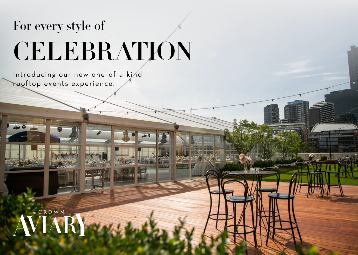# For every style of **CELEBRATION**

Introducing our new one-of-a-kind rooftop events experience.